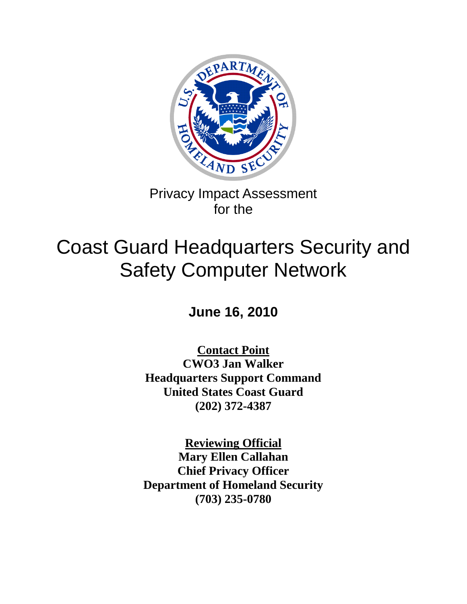

Privacy Impact Assessment for the

# Coast Guard Headquarters Security and Safety Computer Network

**June 16, 2010**

**Contact Point CWO3 Jan Walker Headquarters Support Command United States Coast Guard (202) 372-4387**

**Reviewing Official Mary Ellen Callahan Chief Privacy Officer Department of Homeland Security (703) 235-0780**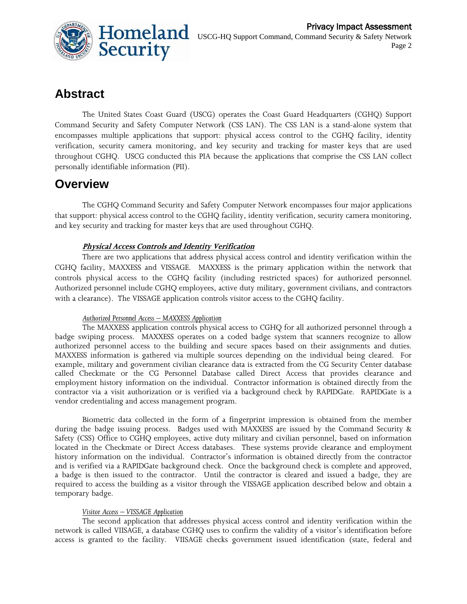

# **Abstract**

The United States Coast Guard (USCG) operates the Coast Guard Headquarters (CGHQ) Support Command Security and Safety Computer Network (CSS LAN). The CSS LAN is a stand-alone system that encompasses multiple applications that support: physical access control to the CGHQ facility, identity verification, security camera monitoring, and key security and tracking for master keys that are used throughout CGHQ. USCG conducted this PIA because the applications that comprise the CSS LAN collect personally identifiable information (PII).

### **Overview**

The CGHQ Command Security and Safety Computer Network encompasses four major applications that support: physical access control to the CGHQ facility, identity verification, security camera monitoring, and key security and tracking for master keys that are used throughout CGHQ.

#### **Physical Access Controls and Identity Verification**

There are two applications that address physical access control and identity verification within the CGHQ facility, MAXXESS and VISSAGE. MAXXESS is the primary application within the network that controls physical access to the CGHQ facility (including restricted spaces) for authorized personnel. Authorized personnel include CGHQ employees, active duty military, government civilians, and contractors with a clearance). The VISSAGE application controls visitor access to the CGHQ facility.

#### *Authorized Personnel Access – MAXXESS Application*

The MAXXESS application controls physical access to CGHQ for all authorized personnel through a badge swiping process. MAXXESS operates on a coded badge system that scanners recognize to allow authorized personnel access to the building and secure spaces based on their assignments and duties. MAXXESS information is gathered via multiple sources depending on the individual being cleared. For example, military and government civilian clearance data is extracted from the CG Security Center database called Checkmate or the CG Personnel Database called Direct Access that provides clearance and employment history information on the individual. Contractor information is obtained directly from the contractor via a visit authorization or is verified via a background check by RAPIDGate. RAPIDGate is a vendor credentialing and access management program.

Biometric data collected in the form of a fingerprint impression is obtained from the member during the badge issuing process. Badges used with MAXXESS are issued by the Command Security & Safety (CSS) Office to CGHQ employees, active duty military and civilian personnel, based on information located in the Checkmate or Direct Access databases. These systems provide clearance and employment history information on the individual. Contractor's information is obtained directly from the contractor and is verified via a RAPIDGate background check. Once the background check is complete and approved, a badge is then issued to the contractor. Until the contractor is cleared and issued a badge, they are required to access the building as a visitor through the VISSAGE application described below and obtain a temporary badge.

#### *Visitor Access – VISSAGE Application*

The second application that addresses physical access control and identity verification within the network is called VIISAGE, a database CGHQ uses to confirm the validity of a visitor's identification before access is granted to the facility. VIISAGE checks government issued identification (state, federal and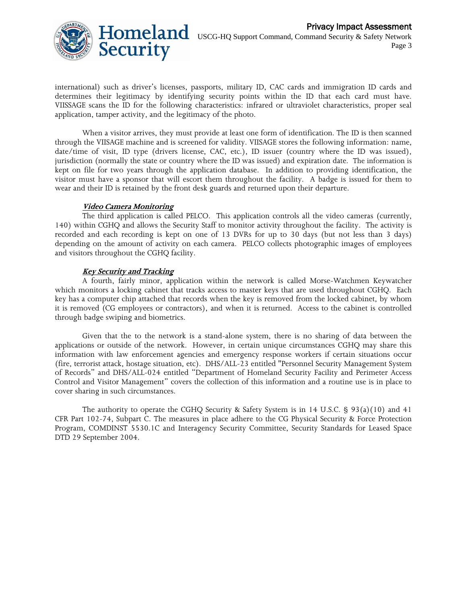

international) such as driver's licenses, passports, military ID, CAC cards and immigration ID cards and determines their legitimacy by identifying security points within the ID that each card must have. VIISSAGE scans the ID for the following characteristics: infrared or ultraviolet characteristics, proper seal application, tamper activity, and the legitimacy of the photo.

When a visitor arrives, they must provide at least one form of identification. The ID is then scanned through the VIISAGE machine and is screened for validity. VIISAGE stores the following information: name, date/time of visit, ID type (drivers license, CAC, etc.), ID issuer (country where the ID was issued), jurisdiction (normally the state or country where the ID was issued) and expiration date. The information is kept on file for two years through the application database. In addition to providing identification, the visitor must have a sponsor that will escort them throughout the facility. A badge is issued for them to wear and their ID is retained by the front desk guards and returned upon their departure.

#### **Video Camera Monitoring**

The third application is called PELCO. This application controls all the video cameras (currently, 140) within CGHQ and allows the Security Staff to monitor activity throughout the facility. The activity is recorded and each recording is kept on one of 13 DVRs for up to 30 days (but not less than 3 days) depending on the amount of activity on each camera. PELCO collects photographic images of employees and visitors throughout the CGHQ facility.

#### **Key Security and Tracking**

A fourth, fairly minor, application within the network is called Morse-Watchmen Keywatcher which monitors a locking cabinet that tracks access to master keys that are used throughout CGHQ. Each key has a computer chip attached that records when the key is removed from the locked cabinet, by whom it is removed (CG employees or contractors), and when it is returned. Access to the cabinet is controlled through badge swiping and biometrics.

Given that the to the network is a stand-alone system, there is no sharing of data between the applications or outside of the network. However, in certain unique circumstances CGHQ may share this information with law enforcement agencies and emergency response workers if certain situations occur (fire, terrorist attack, hostage situation, etc). DHS/ALL-23 entitled "Personnel Security Management System of Records" and DHS/ALL-024 entitled "Department of Homeland Security Facility and Perimeter Access Control and Visitor Management" covers the collection of this information and a routine use is in place to cover sharing in such circumstances.

The authority to operate the CGHQ Security & Safety System is in 14 U.S.C. § 93(a)(10) and 41 CFR Part 102-74, Subpart C. The measures in place adhere to the CG Physical Security & Force Protection Program, COMDINST 5530.1C and Interagency Security Committee, Security Standards for Leased Space DTD 29 September 2004.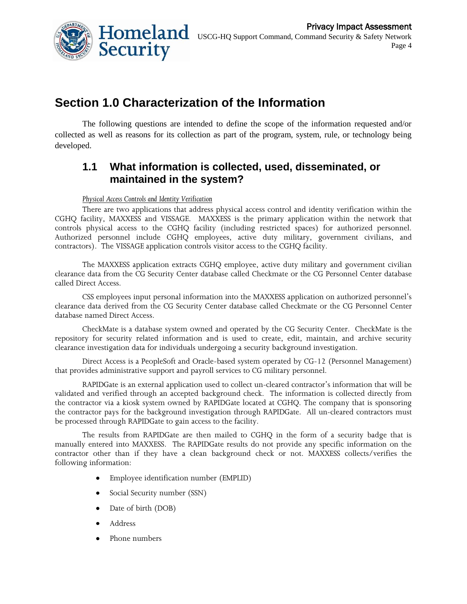

# **Section 1.0 Characterization of the Information**

The following questions are intended to define the scope of the information requested and/or collected as well as reasons for its collection as part of the program, system, rule, or technology being developed.

### **1.1 What information is collected, used, disseminated, or maintained in the system?**

#### *Physical Access Controls and Identity Verification*

There are two applications that address physical access control and identity verification within the CGHQ facility, MAXXESS and VISSAGE. MAXXESS is the primary application within the network that controls physical access to the CGHQ facility (including restricted spaces) for authorized personnel. Authorized personnel include CGHQ employees, active duty military, government civilians, and contractors). The VISSAGE application controls visitor access to the CGHQ facility.

The MAXXESS application extracts CGHQ employee, active duty military and government civilian clearance data from the CG Security Center database called Checkmate or the CG Personnel Center database called Direct Access.

CSS employees input personal information into the MAXXESS application on authorized personnel's clearance data derived from the CG Security Center database called Checkmate or the CG Personnel Center database named Direct Access.

CheckMate is a database system owned and operated by the CG Security Center. CheckMate is the repository for security related information and is used to create, edit, maintain, and archive security clearance investigation data for individuals undergoing a security background investigation.

Direct Access is a PeopleSoft and Oracle-based system operated by CG-12 (Personnel Management) that provides administrative support and payroll services to CG military personnel.

RAPIDGate is an external application used to collect un-cleared contractor's information that will be validated and verified through an accepted background check. The information is collected directly from the contractor via a kiosk system owned by RAPIDGate located at CGHQ. The company that is sponsoring the contractor pays for the background investigation through RAPIDGate. All un-cleared contractors must be processed through RAPIDGate to gain access to the facility.

The results from RAPIDGate are then mailed to CGHQ in the form of a security badge that is manually entered into MAXXESS. The RAPIDGate results do not provide any specific information on the contractor other than if they have a clean background check or not. MAXXESS collects/verifies the following information:

- Employee identification number (EMPLID)  $\bullet$
- Social Security number (SSN)
- Date of birth (DOB)
- Address
- Phone numbers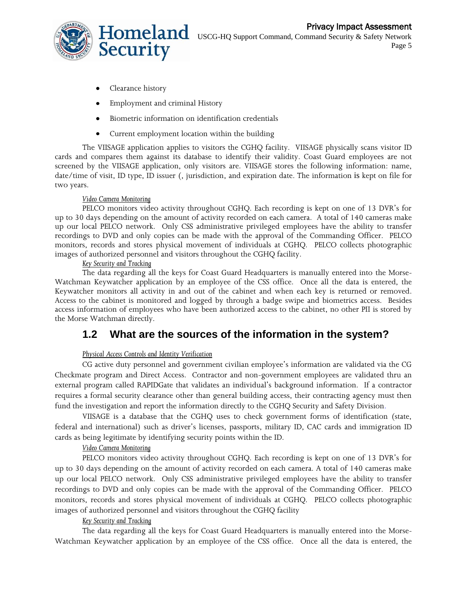

- Clearance history
- Employment and criminal History
- Biometric information on identification credentials  $\bullet$
- $\bullet$ Current employment location within the building

The VIISAGE application applies to visitors the CGHQ facility. VIISAGE physically scans visitor ID cards and compares them against its database to identify their validity. Coast Guard employees are not screened by the VIISAGE application, only visitors are. VIISAGE stores the following information: name, date/time of visit, ID type, ID issuer (, jurisdiction, and expiration date. The information is kept on file for two years.

#### *Video Camera Monitoring*

PELCO monitors video activity throughout CGHQ. Each recording is kept on one of 13 DVR's for up to 30 days depending on the amount of activity recorded on each camera. A total of 140 cameras make up our local PELCO network. Only CSS administrative privileged employees have the ability to transfer recordings to DVD and only copies can be made with the approval of the Commanding Officer. PELCO monitors, records and stores physical movement of individuals at CGHQ. PELCO collects photographic images of authorized personnel and visitors throughout the CGHQ facility.

#### *Key Security and Tracking*

The data regarding all the keys for Coast Guard Headquarters is manually entered into the Morse-Watchman Keywatcher application by an employee of the CSS office. Once all the data is entered, the Keywatcher monitors all activity in and out of the cabinet and when each key is returned or removed. Access to the cabinet is monitored and logged by through a badge swipe and biometrics access. Besides access information of employees who have been authorized access to the cabinet, no other PII is stored by the Morse Watchman directly.

### **1.2 What are the sources of the information in the system?**

#### *Physical Access Controls and Identity Verification*

CG active duty personnel and government civilian employee's information are validated via the CG Checkmate program and Direct Access. Contractor and non-government employees are validated thru an external program called RAPIDGate that validates an individual's background information. If a contractor requires a formal security clearance other than general building access, their contracting agency must then fund the investigation and report the information directly to the CGHQ Security and Safety Division.

VIISAGE is a database that the CGHQ uses to check government forms of identification (state, federal and international) such as driver's licenses, passports, military ID, CAC cards and immigration ID cards as being legitimate by identifying security points within the ID.

#### *Video Camera Monitoring*

PELCO monitors video activity throughout CGHQ. Each recording is kept on one of 13 DVR's for up to 30 days depending on the amount of activity recorded on each camera. A total of 140 cameras make up our local PELCO network. Only CSS administrative privileged employees have the ability to transfer recordings to DVD and only copies can be made with the approval of the Commanding Officer. PELCO monitors, records and stores physical movement of individuals at CGHQ. PELCO collects photographic images of authorized personnel and visitors throughout the CGHQ facility

#### *Key Security and Tracking*

The data regarding all the keys for Coast Guard Headquarters is manually entered into the Morse-Watchman Keywatcher application by an employee of the CSS office. Once all the data is entered, the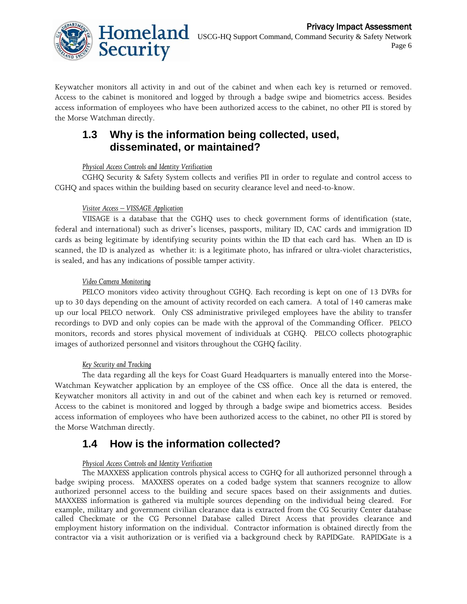

Keywatcher monitors all activity in and out of the cabinet and when each key is returned or removed. Access to the cabinet is monitored and logged by through a badge swipe and biometrics access. Besides access information of employees who have been authorized access to the cabinet, no other PII is stored by the Morse Watchman directly.

### **1.3 Why is the information being collected, used, disseminated, or maintained?**

#### *Physical Access Controls and Identity Verification*

CGHQ Security & Safety System collects and verifies PII in order to regulate and control access to CGHQ and spaces within the building based on security clearance level and need-to-know.

#### *Visitor Access – VISSAGE Application*

VIISAGE is a database that the CGHQ uses to check government forms of identification (state, federal and international) such as driver's licenses, passports, military ID, CAC cards and immigration ID cards as being legitimate by identifying security points within the ID that each card has. When an ID is scanned, the ID is analyzed as whether it: is a legitimate photo, has infrared or ultra-violet characteristics, is sealed, and has any indications of possible tamper activity.

#### *Video Camera Monitoring*

PELCO monitors video activity throughout CGHQ. Each recording is kept on one of 13 DVRs for up to 30 days depending on the amount of activity recorded on each camera. A total of 140 cameras make up our local PELCO network. Only CSS administrative privileged employees have the ability to transfer recordings to DVD and only copies can be made with the approval of the Commanding Officer. PELCO monitors, records and stores physical movement of individuals at CGHQ. PELCO collects photographic images of authorized personnel and visitors throughout the CGHQ facility.

#### *Key Security and Tracking*

The data regarding all the keys for Coast Guard Headquarters is manually entered into the Morse-Watchman Keywatcher application by an employee of the CSS office. Once all the data is entered, the Keywatcher monitors all activity in and out of the cabinet and when each key is returned or removed. Access to the cabinet is monitored and logged by through a badge swipe and biometrics access. Besides access information of employees who have been authorized access to the cabinet, no other PII is stored by the Morse Watchman directly.

### **1.4 How is the information collected?**

#### *Physical Access Controls and Identity Verification*

The MAXXESS application controls physical access to CGHQ for all authorized personnel through a badge swiping process. MAXXESS operates on a coded badge system that scanners recognize to allow authorized personnel access to the building and secure spaces based on their assignments and duties. MAXXESS information is gathered via multiple sources depending on the individual being cleared. For example, military and government civilian clearance data is extracted from the CG Security Center database called Checkmate or the CG Personnel Database called Direct Access that provides clearance and employment history information on the individual. Contractor information is obtained directly from the contractor via a visit authorization or is verified via a background check by RAPIDGate. RAPIDGate is a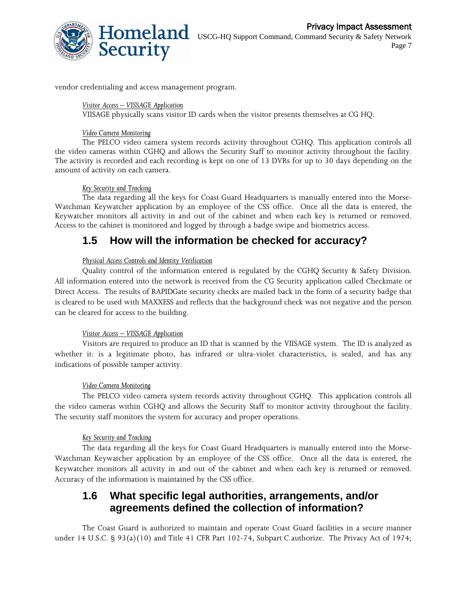

vendor credentialing and access management program.

#### *Visitor Access – VISSAGE Application*

VIISAGE physically scans visitor ID cards when the visitor presents themselves at CG HQ.

#### *Video Camera Monitoring*

The PELCO video camera system records activity throughout CGHQ. This application controls all the video cameras within CGHQ and allows the Security Staff to monitor activity throughout the facility. The activity is recorded and each recording is kept on one of 13 DVRs for up to 30 days depending on the amount of activity on each camera.

#### *Key Security and Tracking*

The data regarding all the keys for Coast Guard Headquarters is manually entered into the Morse-Watchman Keywatcher application by an employee of the CSS office. Once all the data is entered, the Keywatcher monitors all activity in and out of the cabinet and when each key is returned or removed. Access to the cabinet is monitored and logged by through a badge swipe and biometrics access.

### **1.5 How will the information be checked for accuracy?**

#### *Physical Access Controls and Identity Verification*

Quality control of the information entered is regulated by the CGHQ Security & Safety Division. All information entered into the network is received from the CG Security application called Checkmate or Direct Access. The results of RAPIDGate security checks are mailed back in the form of a security badge that is cleared to be used with MAXXESS and reflects that the background check was not negative and the person can be cleared for access to the building.

#### *Visitor Access – VISSAGE Application*

Visitors are required to produce an ID that is scanned by the VIISAGE system. The ID is analyzed as whether it: is a legitimate photo, has infrared or ultra-violet characteristics, is sealed, and has any indications of possible tamper activity.

#### *Video Camera Monitoring*

The PELCO video camera system records activity throughout CGHQ. This application controls all the video cameras within CGHQ and allows the Security Staff to monitor activity throughout the facility. The security staff monitors the system for accuracy and proper operations.

#### *Key Security and Tracking*

The data regarding all the keys for Coast Guard Headquarters is manually entered into the Morse-Watchman Keywatcher application by an employee of the CSS office. Once all the data is entered, the Keywatcher monitors all activity in and out of the cabinet and when each key is returned or removed. Accuracy of the information is maintained by the CSS office.

### **1.6 What specific legal authorities, arrangements, and/or agreements defined the collection of information?**

The Coast Guard is authorized to maintain and operate Coast Guard facilities in a secure manner under 14 U.S.C. § 93(a)(10) and Title 41 CFR Part 102-74, Subpart C authorize. The Privacy Act of 1974;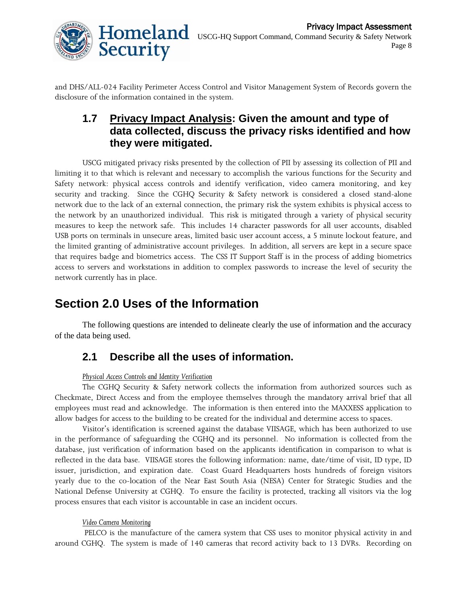

and DHS/ALL-024 Facility Perimeter Access Control and Visitor Management System of Records govern the disclosure of the information contained in the system.

### **1.7 Privacy Impact Analysis: Given the amount and type of data collected, discuss the privacy risks identified and how they were mitigated.**

USCG mitigated privacy risks presented by the collection of PII by assessing its collection of PII and limiting it to that which is relevant and necessary to accomplish the various functions for the Security and Safety network: physical access controls and identify verification, video camera monitoring, and key security and tracking. Since the CGHQ Security & Safety network is considered a closed stand-alone network due to the lack of an external connection, the primary risk the system exhibits is physical access to the network by an unauthorized individual. This risk is mitigated through a variety of physical security measures to keep the network safe. This includes 14 character passwords for all user accounts, disabled USB ports on terminals in unsecure areas, limited basic user account access, a 5 minute lockout feature, and the limited granting of administrative account privileges. In addition, all servers are kept in a secure space that requires badge and biometrics access. The CSS IT Support Staff is in the process of adding biometrics access to servers and workstations in addition to complex passwords to increase the level of security the network currently has in place.

# **Section 2.0 Uses of the Information**

The following questions are intended to delineate clearly the use of information and the accuracy of the data being used.

### **2.1 Describe all the uses of information.**

#### *Physical Access Controls and Identity Verification*

The CGHQ Security & Safety network collects the information from authorized sources such as Checkmate, Direct Access and from the employee themselves through the mandatory arrival brief that all employees must read and acknowledge. The information is then entered into the MAXXESS application to allow badges for access to the building to be created for the individual and determine access to spaces.

Visitor's identification is screened against the database VIISAGE, which has been authorized to use in the performance of safeguarding the CGHQ and its personnel. No information is collected from the database, just verification of information based on the applicants identification in comparison to what is reflected in the data base. VIISAGE stores the following information: name, date/time of visit, ID type, ID issuer, jurisdiction, and expiration date. Coast Guard Headquarters hosts hundreds of foreign visitors yearly due to the co-location of the Near East South Asia (NESA) Center for Strategic Studies and the National Defense University at CGHQ. To ensure the facility is protected, tracking all visitors via the log process ensures that each visitor is accountable in case an incident occurs.

#### *Video Camera Monitoring*

PELCO is the manufacture of the camera system that CSS uses to monitor physical activity in and around CGHQ. The system is made of 140 cameras that record activity back to 13 DVRs. Recording on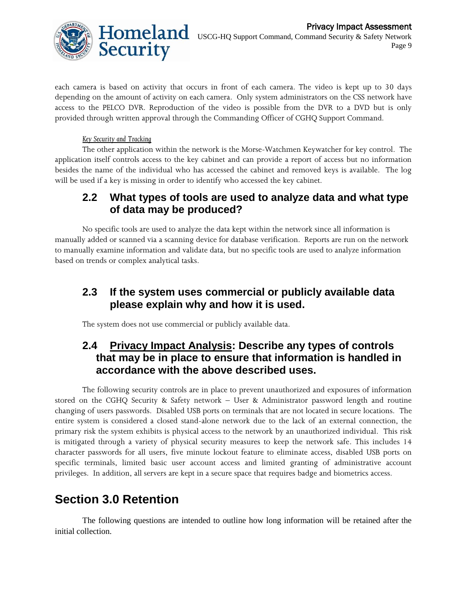

each camera is based on activity that occurs in front of each camera. The video is kept up to 30 days depending on the amount of activity on each camera. Only system administrators on the CSS network have access to the PELCO DVR. Reproduction of the video is possible from the DVR to a DVD but is only provided through written approval through the Commanding Officer of CGHQ Support Command.

#### *Key Security and Tracking*

The other application within the network is the Morse-Watchmen Keywatcher for key control. The application itself controls access to the key cabinet and can provide a report of access but no information besides the name of the individual who has accessed the cabinet and removed keys is available. The log will be used if a key is missing in order to identify who accessed the key cabinet.

### **2.2 What types of tools are used to analyze data and what type of data may be produced?**

No specific tools are used to analyze the data kept within the network since all information is manually added or scanned via a scanning device for database verification. Reports are run on the network to manually examine information and validate data, but no specific tools are used to analyze information based on trends or complex analytical tasks.

### **2.3 If the system uses commercial or publicly available data please explain why and how it is used.**

The system does not use commercial or publicly available data.

### **2.4 Privacy Impact Analysis: Describe any types of controls that may be in place to ensure that information is handled in accordance with the above described uses.**

The following security controls are in place to prevent unauthorized and exposures of information stored on the CGHQ Security & Safety network – User & Administrator password length and routine changing of users passwords. Disabled USB ports on terminals that are not located in secure locations. The entire system is considered a closed stand-alone network due to the lack of an external connection, the primary risk the system exhibits is physical access to the network by an unauthorized individual. This risk is mitigated through a variety of physical security measures to keep the network safe. This includes 14 character passwords for all users, five minute lockout feature to eliminate access, disabled USB ports on specific terminals, limited basic user account access and limited granting of administrative account privileges. In addition, all servers are kept in a secure space that requires badge and biometrics access.

# **Section 3.0 Retention**

The following questions are intended to outline how long information will be retained after the initial collection.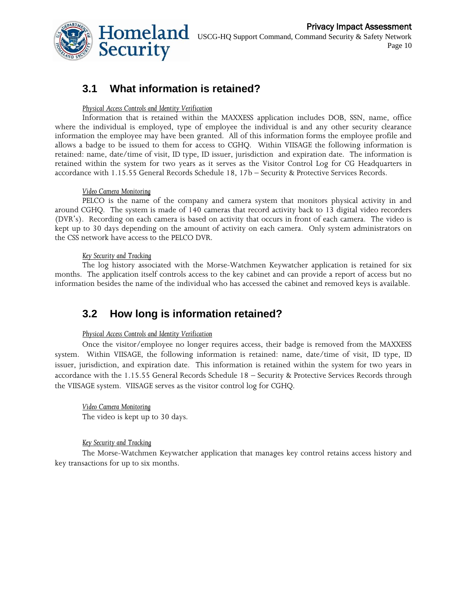

### **3.1 What information is retained?**

#### *Physical Access Controls and Identity Verification*

Information that is retained within the MAXXESS application includes DOB, SSN, name, office where the individual is employed, type of employee the individual is and any other security clearance information the employee may have been granted. All of this information forms the employee profile and allows a badge to be issued to them for access to CGHQ. Within VIISAGE the following information is retained: name, date/time of visit, ID type, ID issuer, jurisdiction and expiration date. The information is retained within the system for two years as it serves as the Visitor Control Log for CG Headquarters in accordance with 1.15.55 General Records Schedule 18, 17b – Security & Protective Services Records.

#### *Video Camera Monitoring*

PELCO is the name of the company and camera system that monitors physical activity in and around CGHQ. The system is made of 140 cameras that record activity back to 13 digital video recorders (DVR's). Recording on each camera is based on activity that occurs in front of each camera. The video is kept up to 30 days depending on the amount of activity on each camera. Only system administrators on the CSS network have access to the PELCO DVR.

#### *Key Security and Tracking*

The log history associated with the Morse-Watchmen Keywatcher application is retained for six months. The application itself controls access to the key cabinet and can provide a report of access but no information besides the name of the individual who has accessed the cabinet and removed keys is available.

### **3.2 How long is information retained?**

#### *Physical Access Controls and Identity Verification*

Once the visitor/employee no longer requires access, their badge is removed from the MAXXESS system. Within VIISAGE, the following information is retained: name, date/time of visit, ID type, ID issuer, jurisdiction, and expiration date. This information is retained within the system for two years in accordance with the 1.15.55 General Records Schedule 18 – Security & Protective Services Records through the VIISAGE system. VIISAGE serves as the visitor control log for CGHQ.

*Video Camera Monitoring* The video is kept up to 30 days.

#### *Key Security and Tracking*

The Morse-Watchmen Keywatcher application that manages key control retains access history and key transactions for up to six months.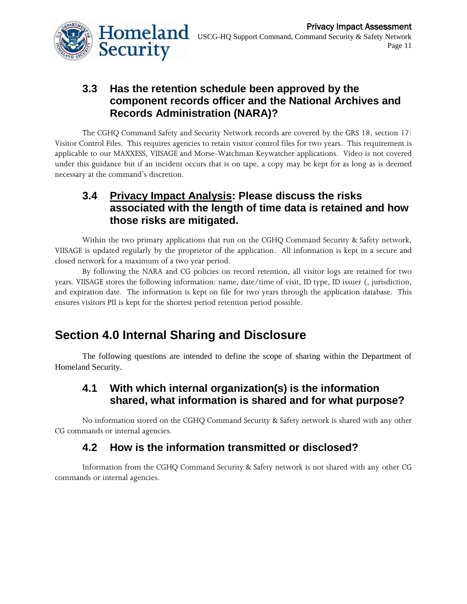

### **3.3 Has the retention schedule been approved by the component records officer and the National Archives and Records Administration (NARA)?**

The CGHQ Command Safety and Security Network records are covered by the GRS 18, section 17: Visitor Control Files. This requires agencies to retain visitor control files for two years. This requirement is applicable to our MAXXESS, VIISAGE and Morse-Watchman Keywatcher applications. Video is not covered under this guidance but if an incident occurs that is on tape, a copy may be kept for as long as is deemed necessary at the command's discretion.

### **3.4 Privacy Impact Analysis: Please discuss the risks associated with the length of time data is retained and how those risks are mitigated.**

Within the two primary applications that run on the CGHQ Command Security & Safety network, VIISAGE is updated regularly by the proprietor of the application. All information is kept in a secure and closed network for a maximum of a two year period.

By following the NARA and CG policies on record retention, all visitor logs are retained for two years. VIISAGE stores the following information: name, date/time of visit, ID type, ID issuer (, jurisdiction, and expiration date. The information is kept on file for two years through the application database. This ensures visitors PII is kept for the shortest period retention period possible.

# **Section 4.0 Internal Sharing and Disclosure**

The following questions are intended to define the scope of sharing within the Department of Homeland Security.

### **4.1 With which internal organization(s) is the information shared, what information is shared and for what purpose?**

No information stored on the CGHQ Command Security & Safety network is shared with any other CG commands or internal agencies.

### **4.2 How is the information transmitted or disclosed?**

Information from the CGHQ Command Security & Safety network is not shared with any other CG commands or internal agencies.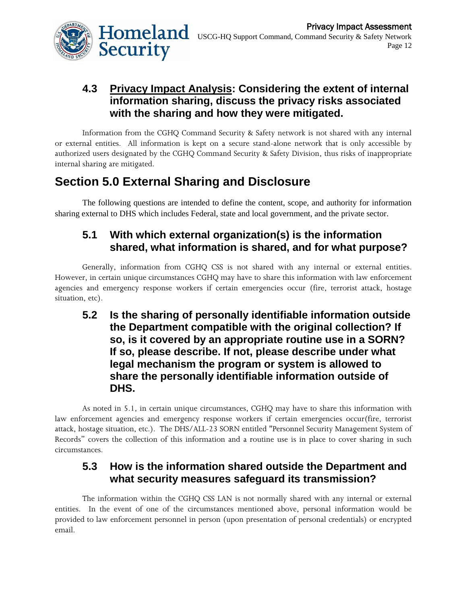

### **4.3 Privacy Impact Analysis: Considering the extent of internal information sharing, discuss the privacy risks associated with the sharing and how they were mitigated.**

Information from the CGHQ Command Security & Safety network is not shared with any internal or external entities. All information is kept on a secure stand-alone network that is only accessible by authorized users designated by the CGHQ Command Security & Safety Division, thus risks of inappropriate internal sharing are mitigated.

# **Section 5.0 External Sharing and Disclosure**

The following questions are intended to define the content, scope, and authority for information sharing external to DHS which includes Federal, state and local government, and the private sector.

### **5.1 With which external organization(s) is the information shared, what information is shared, and for what purpose?**

Generally, information from CGHQ CSS is not shared with any internal or external entities. However, in certain unique circumstances CGHQ may have to share this information with law enforcement agencies and emergency response workers if certain emergencies occur (fire, terrorist attack, hostage situation, etc).

**5.2 Is the sharing of personally identifiable information outside the Department compatible with the original collection? If so, is it covered by an appropriate routine use in a SORN? If so, please describe. If not, please describe under what legal mechanism the program or system is allowed to share the personally identifiable information outside of DHS.**

As noted in 5.1, in certain unique circumstances, CGHQ may have to share this information with law enforcement agencies and emergency response workers if certain emergencies occur(fire, terrorist attack, hostage situation, etc.). The DHS/ALL-23 SORN entitled "Personnel Security Management System of Records" covers the collection of this information and a routine use is in place to cover sharing in such circumstances.

### **5.3 How is the information shared outside the Department and what security measures safeguard its transmission?**

The information within the CGHQ CSS LAN is not normally shared with any internal or external entities. In the event of one of the circumstances mentioned above, personal information would be provided to law enforcement personnel in person (upon presentation of personal credentials) or encrypted email.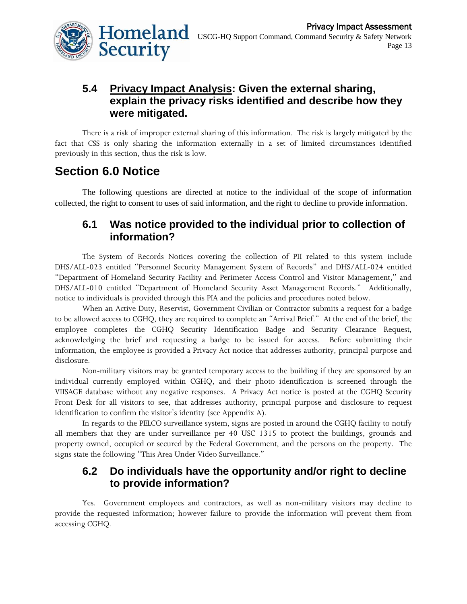

### **5.4 Privacy Impact Analysis: Given the external sharing, explain the privacy risks identified and describe how they were mitigated.**

There is a risk of improper external sharing of this information. The risk is largely mitigated by the fact that CSS is only sharing the information externally in a set of limited circumstances identified previously in this section, thus the risk is low.

## **Section 6.0 Notice**

The following questions are directed at notice to the individual of the scope of information collected, the right to consent to uses of said information, and the right to decline to provide information.

### **6.1 Was notice provided to the individual prior to collection of information?**

The System of Records Notices covering the collection of PII related to this system include DHS/ALL-023 entitled "Personnel Security Management System of Records" and DHS/ALL-024 entitled "Department of Homeland Security Facility and Perimeter Access Control and Visitor Management," and DHS/ALL-010 entitled "Department of Homeland Security Asset Management Records." Additionally, notice to individuals is provided through this PIA and the policies and procedures noted below.

When an Active Duty, Reservist, Government Civilian or Contractor submits a request for a badge to be allowed access to CGHQ, they are required to complete an "Arrival Brief." At the end of the brief, the employee completes the CGHQ Security Identification Badge and Security Clearance Request, acknowledging the brief and requesting a badge to be issued for access. Before submitting their information, the employee is provided a Privacy Act notice that addresses authority, principal purpose and disclosure.

Non-military visitors may be granted temporary access to the building if they are sponsored by an individual currently employed within CGHQ, and their photo identification is screened through the VIISAGE database without any negative responses. A Privacy Act notice is posted at the CGHQ Security Front Desk for all visitors to see, that addresses authority, principal purpose and disclosure to request identification to confirm the visitor's identity (see Appendix A).

In regards to the PELCO surveillance system, signs are posted in around the CGHQ facility to notify all members that they are under surveillance per 40 USC 1315 to protect the buildings, grounds and property owned, occupied or secured by the Federal Government, and the persons on the property. The signs state the following "This Area Under Video Surveillance."

### **6.2 Do individuals have the opportunity and/or right to decline to provide information?**

Yes. Government employees and contractors, as well as non-military visitors may decline to provide the requested information; however failure to provide the information will prevent them from accessing CGHQ.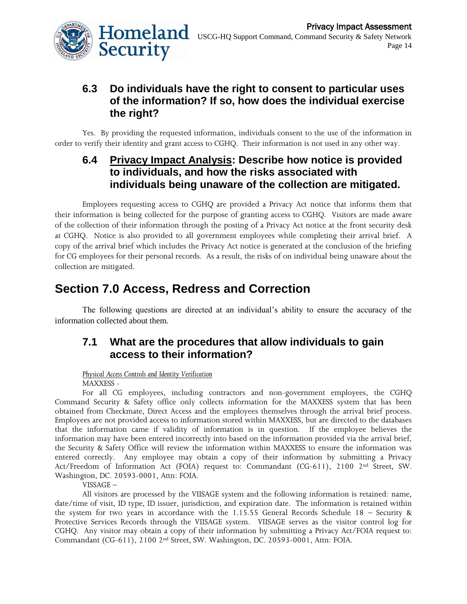

### **6.3 Do individuals have the right to consent to particular uses of the information? If so, how does the individual exercise the right?**

Yes. By providing the requested information, individuals consent to the use of the information in order to verify their identity and grant access to CGHQ. Their information is not used in any other way.

### **6.4 Privacy Impact Analysis: Describe how notice is provided to individuals, and how the risks associated with individuals being unaware of the collection are mitigated.**

Employees requesting access to CGHQ are provided a Privacy Act notice that informs them that their information is being collected for the purpose of granting access to CGHQ. Visitors are made aware of the collection of their information through the posting of a Privacy Act notice at the front security desk at CGHQ. Notice is also provided to all government employees while completing their arrival brief. A copy of the arrival brief which includes the Privacy Act notice is generated at the conclusion of the briefing for CG employees for their personal records. As a result, the risks of on individual being unaware about the collection are mitigated.

# **Section 7.0 Access, Redress and Correction**

The following questions are directed at an individual's ability to ensure the accuracy of the information collected about them.

### **7.1 What are the procedures that allow individuals to gain access to their information?**

#### *Physical Access Controls and Identity Verification*

MAXXESS -

For all CG employees, including contractors and non-government employees, the CGHQ Command Security & Safety office only collects information for the MAXXESS system that has been obtained from Checkmate, Direct Access and the employees themselves through the arrival brief process. Employees are not provided access to information stored within MAXXESS, but are directed to the databases that the information came if validity of information is in question. If the employee believes the information may have been entered incorrectly into based on the information provided via the arrival brief, the Security & Safety Office will review the information within MAXXESS to ensure the information was entered correctly. Any employee may obtain a copy of their information by submitting a Privacy Act/Freedom of Information Act (FOIA) request to: Commandant (CG-611), 2100 2nd Street, SW. Washington, DC. 20593-0001, Attn: FOIA.

VISSAGE –

All visitors are processed by the VIISAGE system and the following information is retained: name, date/time of visit, ID type, ID issuer, jurisdiction, and expiration date. The information is retained within the system for two years in accordance with the 1.15.55 General Records Schedule 18 – Security & Protective Services Records through the VIISAGE system. VIISAGE serves as the visitor control log for CGHQ. Any visitor may obtain a copy of their information by submitting a Privacy Act/FOIA request to: Commandant (CG-611), 2100 2nd Street, SW. Washington, DC. 20593-0001, Attn: FOIA.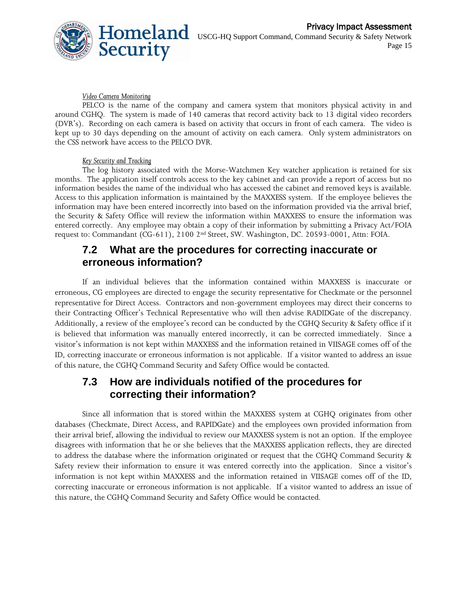

#### *Video Camera Monitoring*

PELCO is the name of the company and camera system that monitors physical activity in and around CGHQ. The system is made of 140 cameras that record activity back to 13 digital video recorders (DVR's). Recording on each camera is based on activity that occurs in front of each camera. The video is kept up to 30 days depending on the amount of activity on each camera. Only system administrators on the CSS network have access to the PELCO DVR.

#### *Key Security and Tracking*

The log history associated with the Morse-Watchmen Key watcher application is retained for six months. The application itself controls access to the key cabinet and can provide a report of access but no information besides the name of the individual who has accessed the cabinet and removed keys is available. Access to this application information is maintained by the MAXXESS system. If the employee believes the information may have been entered incorrectly into based on the information provided via the arrival brief, the Security & Safety Office will review the information within MAXXESS to ensure the information was entered correctly. Any employee may obtain a copy of their information by submitting a Privacy Act/FOIA request to: Commandant (CG-611), 2100 2nd Street, SW. Washington, DC. 20593-0001, Attn: FOIA.

### **7.2 What are the procedures for correcting inaccurate or erroneous information?**

If an individual believes that the information contained within MAXXESS is inaccurate or erroneous, CG employees are directed to engage the security representative for Checkmate or the personnel representative for Direct Access. Contractors and non-government employees may direct their concerns to their Contracting Officer's Technical Representative who will then advise RADIDGate of the discrepancy. Additionally, a review of the employee's record can be conducted by the CGHQ Security & Safety office if it is believed that information was manually entered incorrectly, it can be corrected immediately. Since a visitor's information is not kept within MAXXESS and the information retained in VIISAGE comes off of the ID, correcting inaccurate or erroneous information is not applicable. If a visitor wanted to address an issue of this nature, the CGHQ Command Security and Safety Office would be contacted.

### **7.3 How are individuals notified of the procedures for correcting their information?**

Since all information that is stored within the MAXXESS system at CGHQ originates from other databases (Checkmate, Direct Access, and RAPIDGate) and the employees own provided information from their arrival brief, allowing the individual to review our MAXXESS system is not an option. If the employee disagrees with information that he or she believes that the MAXXESS application reflects, they are directed to address the database where the information originated or request that the CGHQ Command Security & Safety review their information to ensure it was entered correctly into the application. Since a visitor's information is not kept within MAXXESS and the information retained in VIISAGE comes off of the ID, correcting inaccurate or erroneous information is not applicable. If a visitor wanted to address an issue of this nature, the CGHQ Command Security and Safety Office would be contacted.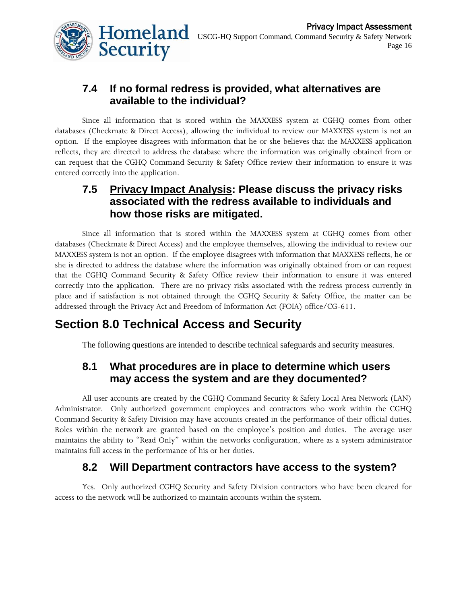

### **7.4 If no formal redress is provided, what alternatives are available to the individual?**

Since all information that is stored within the MAXXESS system at CGHQ comes from other databases (Checkmate & Direct Access), allowing the individual to review our MAXXESS system is not an option. If the employee disagrees with information that he or she believes that the MAXXESS application reflects, they are directed to address the database where the information was originally obtained from or can request that the CGHQ Command Security & Safety Office review their information to ensure it was entered correctly into the application.

### **7.5 Privacy Impact Analysis: Please discuss the privacy risks associated with the redress available to individuals and how those risks are mitigated.**

Since all information that is stored within the MAXXESS system at CGHQ comes from other databases (Checkmate & Direct Access) and the employee themselves, allowing the individual to review our MAXXESS system is not an option. If the employee disagrees with information that MAXXESS reflects, he or she is directed to address the database where the information was originally obtained from or can request that the CGHQ Command Security & Safety Office review their information to ensure it was entered correctly into the application. There are no privacy risks associated with the redress process currently in place and if satisfaction is not obtained through the CGHQ Security & Safety Office, the matter can be addressed through the Privacy Act and Freedom of Information Act (FOIA) office/CG-611.

# **Section 8.0 Technical Access and Security**

The following questions are intended to describe technical safeguards and security measures.

### **8.1 What procedures are in place to determine which users may access the system and are they documented?**

All user accounts are created by the CGHQ Command Security & Safety Local Area Network (LAN) Administrator. Only authorized government employees and contractors who work within the CGHQ Command Security & Safety Division may have accounts created in the performance of their official duties. Roles within the network are granted based on the employee's position and duties. The average user maintains the ability to "Read Only" within the networks configuration, where as a system administrator maintains full access in the performance of his or her duties.

### **8.2 Will Department contractors have access to the system?**

Yes. Only authorized CGHQ Security and Safety Division contractors who have been cleared for access to the network will be authorized to maintain accounts within the system.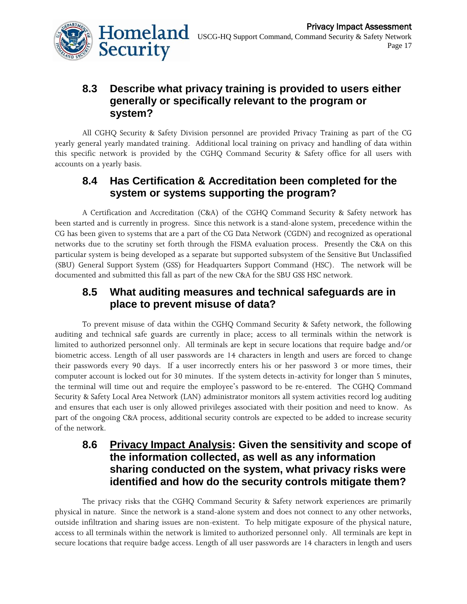

### **8.3 Describe what privacy training is provided to users either generally or specifically relevant to the program or system?**

All CGHQ Security & Safety Division personnel are provided Privacy Training as part of the CG yearly general yearly mandated training. Additional local training on privacy and handling of data within this specific network is provided by the CGHQ Command Security & Safety office for all users with accounts on a yearly basis.

### **8.4 Has Certification & Accreditation been completed for the system or systems supporting the program?**

A Certification and Accreditation (C&A) of the CGHQ Command Security & Safety network has been started and is currently in progress. Since this network is a stand-alone system, precedence within the CG has been given to systems that are a part of the CG Data Network (CGDN) and recognized as operational networks due to the scrutiny set forth through the FISMA evaluation process. Presently the C&A on this particular system is being developed as a separate but supported subsystem of the Sensitive But Unclassified (SBU) General Support System (GSS) for Headquarters Support Command (HSC). The network will be documented and submitted this fall as part of the new C&A for the SBU GSS HSC network.

### **8.5 What auditing measures and technical safeguards are in place to prevent misuse of data?**

To prevent misuse of data within the CGHQ Command Security & Safety network, the following auditing and technical safe guards are currently in place; access to all terminals within the network is limited to authorized personnel only. All terminals are kept in secure locations that require badge and/or biometric access. Length of all user passwords are 14 characters in length and users are forced to change their passwords every 90 days. If a user incorrectly enters his or her password 3 or more times, their computer account is locked out for 30 minutes. If the system detects in-activity for longer than 5 minutes, the terminal will time out and require the employee's password to be re-entered. The CGHQ Command Security & Safety Local Area Network (LAN) administrator monitors all system activities record log auditing and ensures that each user is only allowed privileges associated with their position and need to know. As part of the ongoing C&A process, additional security controls are expected to be added to increase security of the network.

### **8.6 Privacy Impact Analysis: Given the sensitivity and scope of the information collected, as well as any information sharing conducted on the system, what privacy risks were identified and how do the security controls mitigate them?**

The privacy risks that the CGHQ Command Security & Safety network experiences are primarily physical in nature. Since the network is a stand-alone system and does not connect to any other networks, outside infiltration and sharing issues are non-existent. To help mitigate exposure of the physical nature, access to all terminals within the network is limited to authorized personnel only. All terminals are kept in secure locations that require badge access. Length of all user passwords are 14 characters in length and users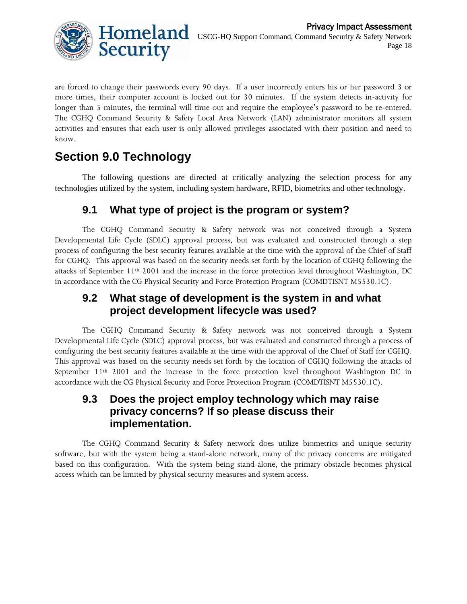

are forced to change their passwords every 90 days. If a user incorrectly enters his or her password 3 or more times, their computer account is locked out for 30 minutes. If the system detects in-activity for longer than 5 minutes, the terminal will time out and require the employee's password to be re-entered. The CGHQ Command Security & Safety Local Area Network (LAN) administrator monitors all system activities and ensures that each user is only allowed privileges associated with their position and need to know.

# **Section 9.0 Technology**

The following questions are directed at critically analyzing the selection process for any technologies utilized by the system, including system hardware, RFID, biometrics and other technology.

### **9.1 What type of project is the program or system?**

The CGHQ Command Security & Safety network was not conceived through a System Developmental Life Cycle (SDLC) approval process, but was evaluated and constructed through a step process of configuring the best security features available at the time with the approval of the Chief of Staff for CGHQ. This approval was based on the security needs set forth by the location of CGHQ following the attacks of September  $11<sup>th</sup> 2001$  and the increase in the force protection level throughout Washington, DC in accordance with the CG Physical Security and Force Protection Program (COMDTISNT M5530.1C).

### **9.2 What stage of development is the system in and what project development lifecycle was used?**

The CGHQ Command Security & Safety network was not conceived through a System Developmental Life Cycle (SDLC) approval process, but was evaluated and constructed through a process of configuring the best security features available at the time with the approval of the Chief of Staff for CGHQ. This approval was based on the security needs set forth by the location of CGHQ following the attacks of September  $11<sup>th</sup> 2001$  and the increase in the force protection level throughout Washington DC in accordance with the CG Physical Security and Force Protection Program (COMDTISNT M5530.1C).

### **9.3 Does the project employ technology which may raise privacy concerns? If so please discuss their implementation.**

The CGHQ Command Security & Safety network does utilize biometrics and unique security software, but with the system being a stand-alone network, many of the privacy concerns are mitigated based on this configuration. With the system being stand-alone, the primary obstacle becomes physical access which can be limited by physical security measures and system access.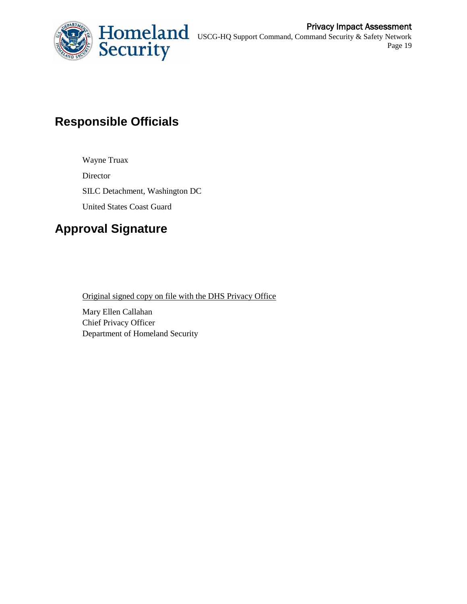

# **Responsible Officials**

Wayne Truax Director SILC Detachment, Washington DC United States Coast Guard

# **Approval Signature**

Original signed copy on file with the DHS Privacy Office

Mary Ellen Callahan Chief Privacy Officer Department of Homeland Security